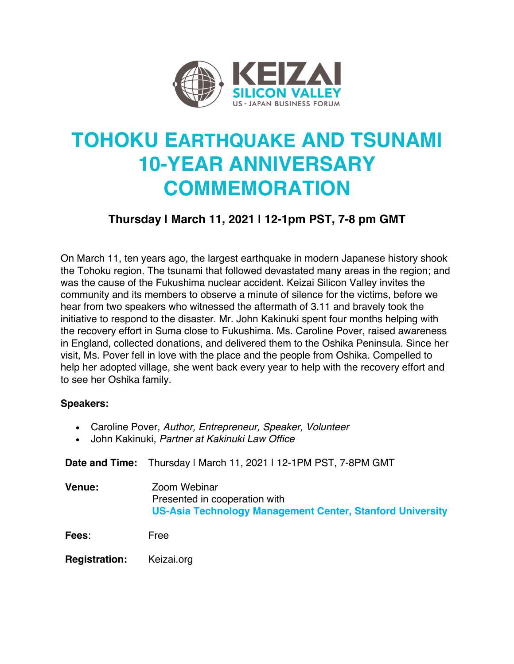

## **TOHOKU EARTHQUAKE AND TSUNAMI 10-YEAR ANNIVERSARY COMMEMORATION**

## **Thursday | March 11, 2021 | 12-1pm PST, 7-8 pm GMT**

On March 11, ten years ago, the largest earthquake in modern Japanese history shook the Tohoku region. The tsunami that followed devastated many areas in the region; and was the cause of the Fukushima nuclear accident. Keizai Silicon Valley invites the community and its members to observe a minute of silence for the victims, before we hear from two speakers who witnessed the aftermath of 3.11 and bravely took the initiative to respond to the disaster. Mr. John Kakinuki spent four months helping with the recovery effort in Suma close to Fukushima. Ms. Caroline Pover, raised awareness in England, collected donations, and delivered them to the Oshika Peninsula. Since her visit, Ms. Pover fell in love with the place and the people from Oshika. Compelled to help her adopted village, she went back every year to help with the recovery effort and to see her Oshika family.

## **Speakers:**

- Caroline Pover, *Author, Entrepreneur, Speaker, Volunteer*
- John Kakinuki, *Partner at Kakinuki Law Office*

**Date and Time:** Thursday | March 11, 2021 | 12-1PM PST, 7-8PM GMT

**Venue:** Zoom Webinar Presented in cooperation with **US-Asia Technology Management Center, Stanford University**

**Fees**: Free

**Registration:** Keizai.org